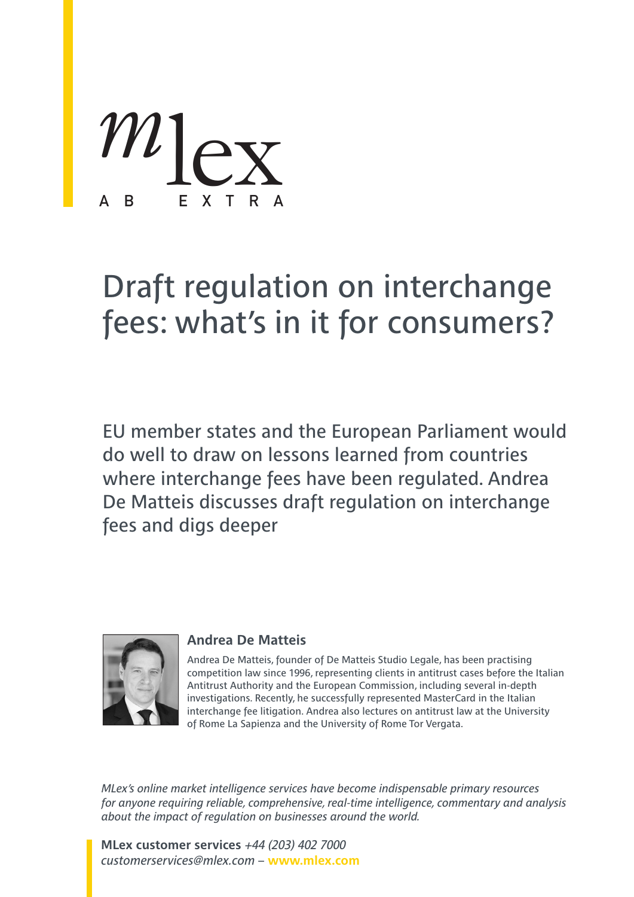*m* F X T R lex

## Draft regulation on interchange fees: what's in it for consumers?

EU member states and the European Parliament would do well to draw on lessons learned from countries where interchange fees have been regulated. Andrea De Matteis discusses draft regulation on interchange fees and digs deeper



### **Andrea De Matteis**

Andrea De Matteis, founder of De Matteis Studio Legale, has been practising competition law since 1996, representing clients in antitrust cases before the Italian Antitrust Authority and the European Commission, including several in-depth investigations. Recently, he successfully represented MasterCard in the Italian interchange fee litigation. Andrea also lectures on antitrust law at the University of Rome La Sapienza and the University of Rome Tor Vergata.

*MLex's online market intelligence services have become indispensable primary resources for anyone requiring reliable, comprehensive, real-time intelligence, commentary and analysis about the impact of regulation on businesses around the world.*

**MLex customer services** *+44 (203) 402 7000 customerservices@mlex.com* – **www.mlex.com**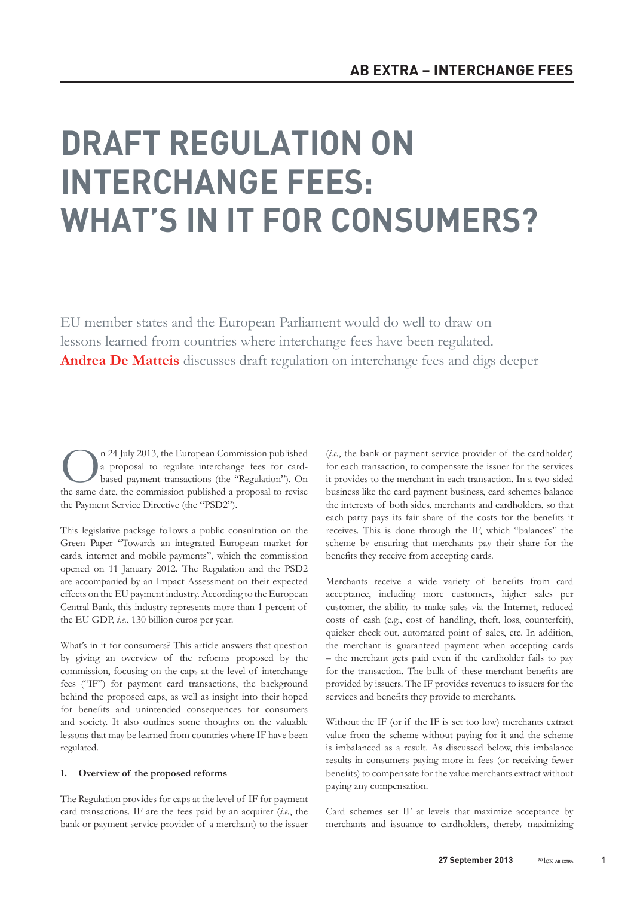# DRAFT REGULATION ON INTERCHANGE FEES: WHAT'S IN IT FOR CONSUMERS?

EU member states and the European Parliament would do well to draw on lessons learned from countries where interchange fees have been regulated. **Andrea De Matteis** discusses draft regulation on interchange fees and digs deeper

**On** 24 July 2013, the European Commission published<br>a proposal to regulate interchange fees for card-<br>based payment transactions (the "Regulation"). On<br>the same date the commission published a proposal to revise a proposal to regulate interchange fees for cardbased payment transactions (the "Regulation"). On the same date, the commission published a proposal to revise the Payment Service Directive (the "PSD2").

This legislative package follows a public consultation on the Green Paper "Towards an integrated European market for cards, internet and mobile payments", which the commission opened on 11 January 2012. The Regulation and the PSD2 are accompanied by an Impact Assessment on their expected effects on the EU payment industry. According to the European Central Bank, this industry represents more than 1 percent of the EU GDP, *i.e.*, 130 billion euros per year.

What's in it for consumers? This article answers that question by giving an overview of the reforms proposed by the commission, focusing on the caps at the level of interchange fees ("IF") for payment card transactions, the background behind the proposed caps, as well as insight into their hoped for benefits and unintended consequences for consumers and society. It also outlines some thoughts on the valuable lessons that may be learned from countries where IF have been regulated.

#### **1. Overview of the proposed reforms**

The Regulation provides for caps at the level of IF for payment card transactions. IF are the fees paid by an acquirer (*i.e.*, the bank or payment service provider of a merchant) to the issuer

(*i.e.*, the bank or payment service provider of the cardholder) for each transaction, to compensate the issuer for the services it provides to the merchant in each transaction. In a two-sided business like the card payment business, card schemes balance the interests of both sides, merchants and cardholders, so that each party pays its fair share of the costs for the benefits it receives. This is done through the IF, which "balances" the scheme by ensuring that merchants pay their share for the benefits they receive from accepting cards.

Merchants receive a wide variety of benefits from card acceptance, including more customers, higher sales per customer, the ability to make sales via the Internet, reduced costs of cash (e.g., cost of handling, theft, loss, counterfeit), quicker check out, automated point of sales, etc. In addition, the merchant is guaranteed payment when accepting cards – the merchant gets paid even if the cardholder fails to pay for the transaction. The bulk of these merchant benefits are provided by issuers. The IF provides revenues to issuers for the services and benefits they provide to merchants.

Without the IF (or if the IF is set too low) merchants extract value from the scheme without paying for it and the scheme is imbalanced as a result. As discussed below, this imbalance results in consumers paying more in fees (or receiving fewer benefits) to compensate for the value merchants extract without paying any compensation.

Card schemes set IF at levels that maximize acceptance by merchants and issuance to cardholders, thereby maximizing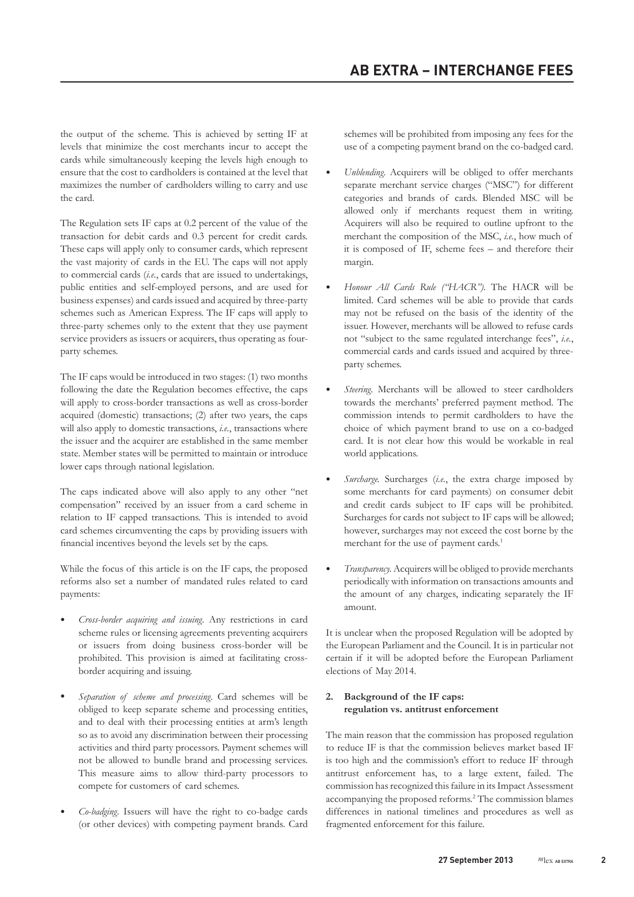the output of the scheme. This is achieved by setting IF at levels that minimize the cost merchants incur to accept the cards while simultaneously keeping the levels high enough to ensure that the cost to cardholders is contained at the level that maximizes the number of cardholders willing to carry and use the card.

The Regulation sets IF caps at 0.2 percent of the value of the transaction for debit cards and 0.3 percent for credit cards. These caps will apply only to consumer cards, which represent the vast majority of cards in the EU. The caps will not apply to commercial cards (*i.e.*, cards that are issued to undertakings, public entities and self-employed persons, and are used for business expenses) and cards issued and acquired by three-party schemes such as American Express. The IF caps will apply to three-party schemes only to the extent that they use payment service providers as issuers or acquirers, thus operating as fourparty schemes.

The IF caps would be introduced in two stages: (1) two months following the date the Regulation becomes effective, the caps will apply to cross-border transactions as well as cross-border acquired (domestic) transactions; (2) after two years, the caps will also apply to domestic transactions, *i.e.*, transactions where the issuer and the acquirer are established in the same member state. Member states will be permitted to maintain or introduce lower caps through national legislation.

The caps indicated above will also apply to any other "net compensation" received by an issuer from a card scheme in relation to IF capped transactions. This is intended to avoid card schemes circumventing the caps by providing issuers with financial incentives beyond the levels set by the caps.

While the focus of this article is on the IF caps, the proposed reforms also set a number of mandated rules related to card payments:

- *Cross-border acquiring and issuing.* Any restrictions in card scheme rules or licensing agreements preventing acquirers or issuers from doing business cross-border will be prohibited. This provision is aimed at facilitating crossborder acquiring and issuing.
- *Separation of scheme and processing*. Card schemes will be obliged to keep separate scheme and processing entities, and to deal with their processing entities at arm's length so as to avoid any discrimination between their processing activities and third party processors. Payment schemes will not be allowed to bundle brand and processing services. This measure aims to allow third-party processors to compete for customers of card schemes.
- *Co-badging.* Issuers will have the right to co-badge cards (or other devices) with competing payment brands. Card

schemes will be prohibited from imposing any fees for the use of a competing payment brand on the co-badged card.

- *Unblending.* Acquirers will be obliged to offer merchants separate merchant service charges ("MSC") for different categories and brands of cards. Blended MSC will be allowed only if merchants request them in writing. Acquirers will also be required to outline upfront to the merchant the composition of the MSC, *i.e.*, how much of it is composed of IF, scheme fees – and therefore their margin.
- *Honour All Cards Rule ("HACR").* The HACR will be limited. Card schemes will be able to provide that cards may not be refused on the basis of the identity of the issuer. However, merchants will be allowed to refuse cards not "subject to the same regulated interchange fees", *i.e.*, commercial cards and cards issued and acquired by threeparty schemes.
- Steering. Merchants will be allowed to steer cardholders towards the merchants' preferred payment method. The commission intends to permit cardholders to have the choice of which payment brand to use on a co-badged card. It is not clear how this would be workable in real world applications.
- *Surcharge.* Surcharges (*i.e.*, the extra charge imposed by some merchants for card payments) on consumer debit and credit cards subject to IF caps will be prohibited. Surcharges for cards not subject to IF caps will be allowed; however, surcharges may not exceed the cost borne by the merchant for the use of payment cards.<sup>1</sup>
- *Transparency.* Acquirers will be obliged to provide merchants periodically with information on transactions amounts and the amount of any charges, indicating separately the IF amount.

It is unclear when the proposed Regulation will be adopted by the European Parliament and the Council. It is in particular not certain if it will be adopted before the European Parliament elections of May 2014.

#### **2. Background of the IF caps: regulation vs. antitrust enforcement**

The main reason that the commission has proposed regulation to reduce IF is that the commission believes market based IF is too high and the commission's effort to reduce IF through antitrust enforcement has, to a large extent, failed. The commission has recognized this failure in its Impact Assessment accompanying the proposed reforms.2 The commission blames differences in national timelines and procedures as well as fragmented enforcement for this failure.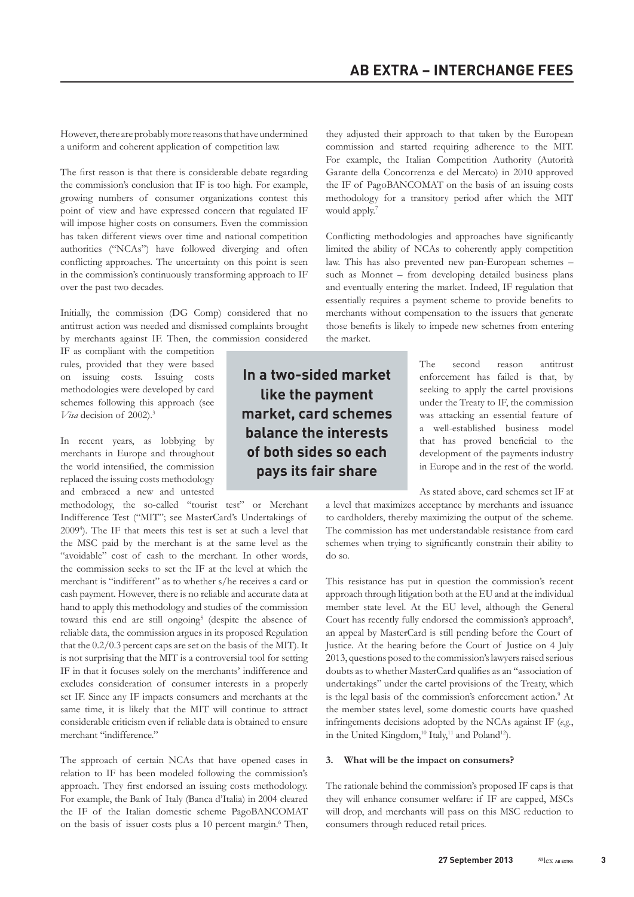However, there are probably more reasons that have undermined a uniform and coherent application of competition law.

The first reason is that there is considerable debate regarding the commission's conclusion that IF is too high. For example, growing numbers of consumer organizations contest this point of view and have expressed concern that regulated IF will impose higher costs on consumers. Even the commission has taken different views over time and national competition authorities ("NCAs") have followed diverging and often conflicting approaches. The uncertainty on this point is seen in the commission's continuously transforming approach to IF over the past two decades.

Initially, the commission (DG Comp) considered that no antitrust action was needed and dismissed complaints brought by merchants against IF. Then, the commission considered

IF as compliant with the competition rules, provided that they were based on issuing costs. Issuing costs methodologies were developed by card schemes following this approach (see *Visa* decision of 2002).3

In recent years, as lobbying by merchants in Europe and throughout the world intensified, the commission replaced the issuing costs methodology and embraced a new and untested

methodology, the so-called "tourist test" or Merchant Indifference Test ("MIT"; see MasterCard's Undertakings of 20094 ). The IF that meets this test is set at such a level that the MSC paid by the merchant is at the same level as the "avoidable" cost of cash to the merchant. In other words, the commission seeks to set the IF at the level at which the merchant is "indifferent" as to whether s/he receives a card or cash payment. However, there is no reliable and accurate data at hand to apply this methodology and studies of the commission toward this end are still ongoing<sup>5</sup> (despite the absence of reliable data, the commission argues in its proposed Regulation that the 0.2/0.3 percent caps are set on the basis of the MIT). It is not surprising that the MIT is a controversial tool for setting IF in that it focuses solely on the merchants' indifference and excludes consideration of consumer interests in a properly set IF. Since any IF impacts consumers and merchants at the same time, it is likely that the MIT will continue to attract considerable criticism even if reliable data is obtained to ensure merchant "indifference."

The approach of certain NCAs that have opened cases in relation to IF has been modeled following the commission's approach. They first endorsed an issuing costs methodology. For example, the Bank of Italy (Banca d'Italia) in 2004 cleared the IF of the Italian domestic scheme PagoBANCOMAT on the basis of issuer costs plus a 10 percent margin.<sup>6</sup> Then,

In a two-sided market like the payment market, card schemes balance the interests of both sides so each pays its fair share

they adjusted their approach to that taken by the European commission and started requiring adherence to the MIT. For example, the Italian Competition Authority (Autorità Garante della Concorrenza e del Mercato) in 2010 approved the IF of PagoBANCOMAT on the basis of an issuing costs methodology for a transitory period after which the MIT would apply.<sup>7</sup>

Conflicting methodologies and approaches have significantly limited the ability of NCAs to coherently apply competition law. This has also prevented new pan-European schemes – such as Monnet – from developing detailed business plans and eventually entering the market. Indeed, IF regulation that essentially requires a payment scheme to provide benefits to merchants without compensation to the issuers that generate those benefits is likely to impede new schemes from entering the market.

> The second reason antitrust enforcement has failed is that, by seeking to apply the cartel provisions under the Treaty to IF, the commission was attacking an essential feature of a well-established business model that has proved beneficial to the development of the payments industry in Europe and in the rest of the world.

As stated above, card schemes set IF at

a level that maximizes acceptance by merchants and issuance to cardholders, thereby maximizing the output of the scheme. The commission has met understandable resistance from card schemes when trying to significantly constrain their ability to do so.

This resistance has put in question the commission's recent approach through litigation both at the EU and at the individual member state level. At the EU level, although the General Court has recently fully endorsed the commission's approach<sup>8</sup>, an appeal by MasterCard is still pending before the Court of Justice. At the hearing before the Court of Justice on 4 July 2013, questions posed to the commission's lawyers raised serious doubts as to whether MasterCard qualifies as an "association of undertakings" under the cartel provisions of the Treaty, which is the legal basis of the commission's enforcement action.<sup>9</sup> At the member states level, some domestic courts have quashed infringements decisions adopted by the NCAs against IF (*e.g.*, in the United Kingdom, $^{10}$  Italy, $^{11}$  and Poland<sup>12</sup>).

#### **3. What will be the impact on consumers?**

The rationale behind the commission's proposed IF caps is that they will enhance consumer welfare: if IF are capped, MSCs will drop, and merchants will pass on this MSC reduction to consumers through reduced retail prices.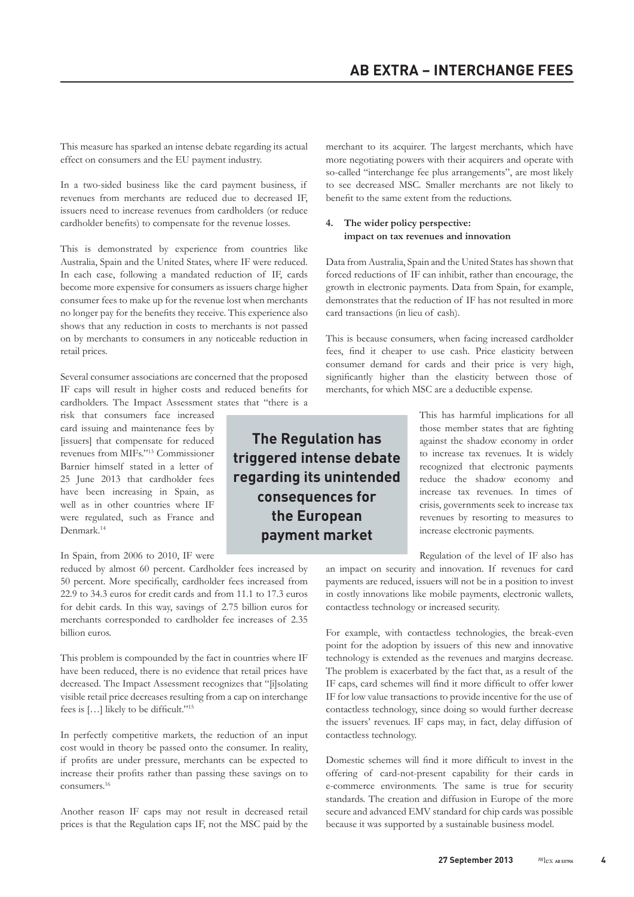This measure has sparked an intense debate regarding its actual effect on consumers and the EU payment industry.

In a two-sided business like the card payment business, if revenues from merchants are reduced due to decreased IF, issuers need to increase revenues from cardholders (or reduce cardholder benefits) to compensate for the revenue losses.

This is demonstrated by experience from countries like Australia, Spain and the United States, where IF were reduced. In each case, following a mandated reduction of IF, cards become more expensive for consumers as issuers charge higher consumer fees to make up for the revenue lost when merchants no longer pay for the benefits they receive. This experience also shows that any reduction in costs to merchants is not passed on by merchants to consumers in any noticeable reduction in retail prices.

Several consumer associations are concerned that the proposed IF caps will result in higher costs and reduced benefits for cardholders. The Impact Assessment states that "there is a

risk that consumers face increased card issuing and maintenance fees by [issuers] that compensate for reduced revenues from MIFs."13 Commissioner Barnier himself stated in a letter of 25 June 2013 that cardholder fees have been increasing in Spain, as well as in other countries where IF were regulated, such as France and Denmark.<sup>14</sup>

#### In Spain, from 2006 to 2010, IF were

reduced by almost 60 percent. Cardholder fees increased by 50 percent. More specifically, cardholder fees increased from 22.9 to 34.3 euros for credit cards and from 11.1 to 17.3 euros for debit cards. In this way, savings of 2.75 billion euros for merchants corresponded to cardholder fee increases of 2.35 billion euros.

This problem is compounded by the fact in countries where IF have been reduced, there is no evidence that retail prices have decreased. The Impact Assessment recognizes that "[i]solating visible retail price decreases resulting from a cap on interchange fees is […] likely to be difficult."<sup>15</sup>

In perfectly competitive markets, the reduction of an input cost would in theory be passed onto the consumer. In reality, if profits are under pressure, merchants can be expected to increase their profits rather than passing these savings on to consumers.16

Another reason IF caps may not result in decreased retail prices is that the Regulation caps IF, not the MSC paid by the merchant to its acquirer. The largest merchants, which have more negotiating powers with their acquirers and operate with so-called "interchange fee plus arrangements", are most likely to see decreased MSC. Smaller merchants are not likely to benefit to the same extent from the reductions.

#### **4. The wider policy perspective: impact on tax revenues and innovation**

Data from Australia, Spain and the United States has shown that forced reductions of IF can inhibit, rather than encourage, the growth in electronic payments. Data from Spain, for example, demonstrates that the reduction of IF has not resulted in more card transactions (in lieu of cash).

This is because consumers, when facing increased cardholder fees, find it cheaper to use cash. Price elasticity between consumer demand for cards and their price is very high, significantly higher than the elasticity between those of merchants, for which MSC are a deductible expense.

The Regulation has triggered intense debate regarding its unintended consequences for the European payment market

This has harmful implications for all those member states that are fighting against the shadow economy in order to increase tax revenues. It is widely recognized that electronic payments reduce the shadow economy and increase tax revenues. In times of crisis, governments seek to increase tax revenues by resorting to measures to increase electronic payments.

Regulation of the level of IF also has

an impact on security and innovation. If revenues for card payments are reduced, issuers will not be in a position to invest in costly innovations like mobile payments, electronic wallets, contactless technology or increased security.

For example, with contactless technologies, the break-even point for the adoption by issuers of this new and innovative technology is extended as the revenues and margins decrease. The problem is exacerbated by the fact that, as a result of the IF caps, card schemes will find it more difficult to offer lower IF for low value transactions to provide incentive for the use of contactless technology, since doing so would further decrease the issuers' revenues. IF caps may, in fact, delay diffusion of contactless technology.

Domestic schemes will find it more difficult to invest in the offering of card-not-present capability for their cards in e-commerce environments. The same is true for security standards. The creation and diffusion in Europe of the more secure and advanced EMV standard for chip cards was possible because it was supported by a sustainable business model.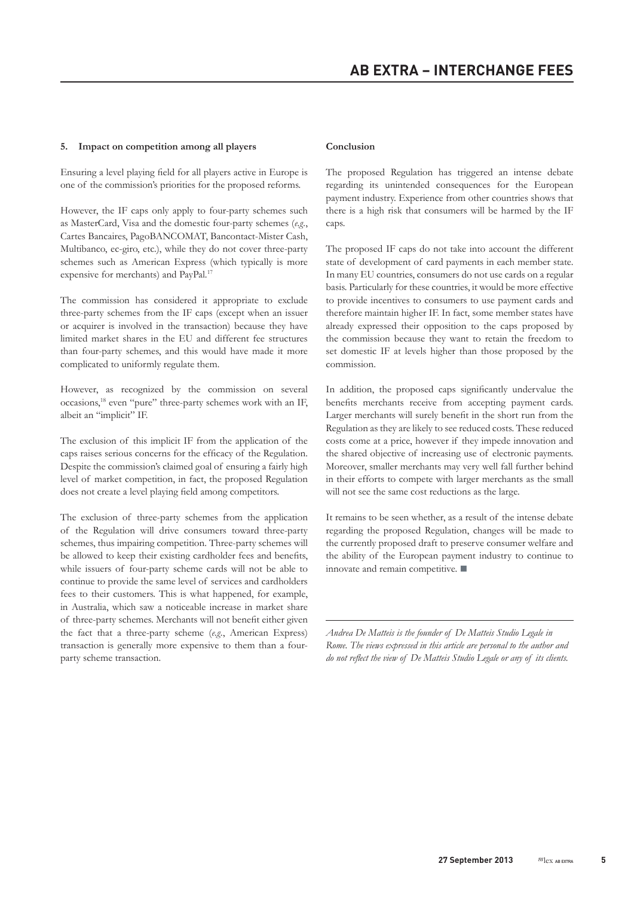#### **5. Impact on competition among all players**

Ensuring a level playing field for all players active in Europe is one of the commission's priorities for the proposed reforms.

However, the IF caps only apply to four-party schemes such as MasterCard, Visa and the domestic four-party schemes (*e.g.*, Cartes Bancaires, PagoBANCOMAT, Bancontact-Mister Cash, Multibanco, ec-giro, etc.), while they do not cover three-party schemes such as American Express (which typically is more expensive for merchants) and PayPal.17

The commission has considered it appropriate to exclude three-party schemes from the IF caps (except when an issuer or acquirer is involved in the transaction) because they have limited market shares in the EU and different fee structures than four-party schemes, and this would have made it more complicated to uniformly regulate them.

However, as recognized by the commission on several occasions,18 even "pure" three-party schemes work with an IF, albeit an "implicit" IF.

The exclusion of this implicit IF from the application of the caps raises serious concerns for the efficacy of the Regulation. Despite the commission's claimed goal of ensuring a fairly high level of market competition, in fact, the proposed Regulation does not create a level playing field among competitors.

The exclusion of three-party schemes from the application of the Regulation will drive consumers toward three-party schemes, thus impairing competition. Three-party schemes will be allowed to keep their existing cardholder fees and benefits, while issuers of four-party scheme cards will not be able to continue to provide the same level of services and cardholders fees to their customers. This is what happened, for example, in Australia, which saw a noticeable increase in market share of three-party schemes. Merchants will not benefit either given the fact that a three-party scheme (*e.g.*, American Express) transaction is generally more expensive to them than a fourparty scheme transaction.

#### **Conclusion**

The proposed Regulation has triggered an intense debate regarding its unintended consequences for the European payment industry. Experience from other countries shows that there is a high risk that consumers will be harmed by the IF caps.

The proposed IF caps do not take into account the different state of development of card payments in each member state. In many EU countries, consumers do not use cards on a regular basis. Particularly for these countries, it would be more effective to provide incentives to consumers to use payment cards and therefore maintain higher IF. In fact, some member states have already expressed their opposition to the caps proposed by the commission because they want to retain the freedom to set domestic IF at levels higher than those proposed by the commission.

In addition, the proposed caps significantly undervalue the benefits merchants receive from accepting payment cards. Larger merchants will surely benefit in the short run from the Regulation as they are likely to see reduced costs. These reduced costs come at a price, however if they impede innovation and the shared objective of increasing use of electronic payments. Moreover, smaller merchants may very well fall further behind in their efforts to compete with larger merchants as the small will not see the same cost reductions as the large.

It remains to be seen whether, as a result of the intense debate regarding the proposed Regulation, changes will be made to the currently proposed draft to preserve consumer welfare and the ability of the European payment industry to continue to innovate and remain competitive.  $\blacksquare$ 

*Andrea De Matteis is the founder of De Matteis Studio Legale in Rome. The views expressed in this article are personal to the author and do not reflect the view of De Matteis Studio Legale or any of its clients.*